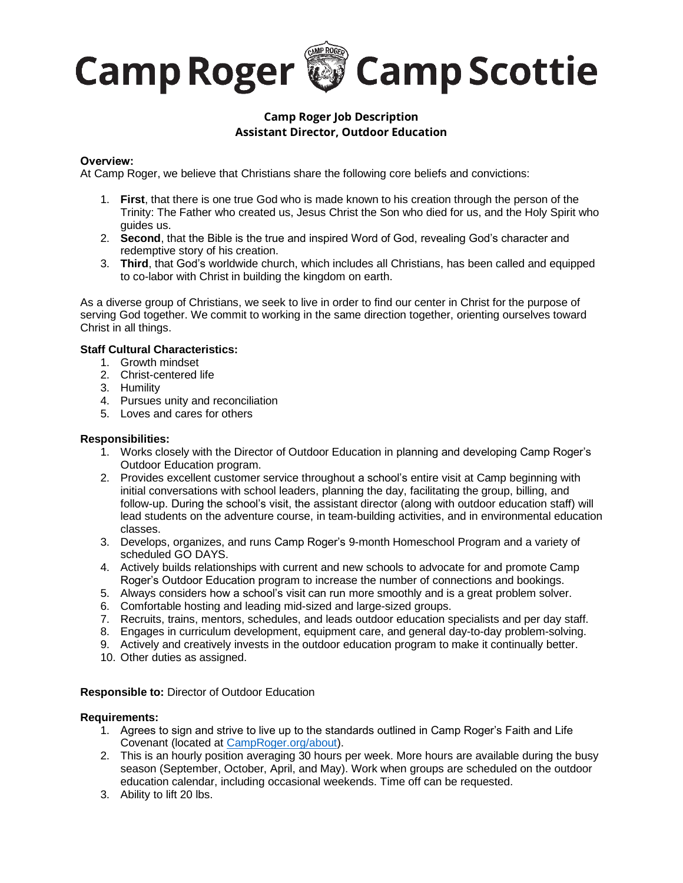# **Camp Roger & Camp Scottie**

# **Camp Roger Job Description Assistant Director, Outdoor Education**

## **Overview:**

At Camp Roger, we believe that Christians share the following core beliefs and convictions:

- 1. **First**, that there is one true God who is made known to his creation through the person of the Trinity: The Father who created us, Jesus Christ the Son who died for us, and the Holy Spirit who guides us.
- 2. **Second**, that the Bible is the true and inspired Word of God, revealing God's character and redemptive story of his creation.
- 3. **Third**, that God's worldwide church, which includes all Christians, has been called and equipped to co-labor with Christ in building the kingdom on earth.

As a diverse group of Christians, we seek to live in order to find our center in Christ for the purpose of serving God together. We commit to working in the same direction together, orienting ourselves toward Christ in all things.

## **Staff Cultural Characteristics:**

- 1. Growth mindset
	- 2. Christ-centered life
	- 3. Humility
	- 4. Pursues unity and reconciliation
	- 5. Loves and cares for others

## **Responsibilities:**

- 1. Works closely with the Director of Outdoor Education in planning and developing Camp Roger's Outdoor Education program.
- 2. Provides excellent customer service throughout a school's entire visit at Camp beginning with initial conversations with school leaders, planning the day, facilitating the group, billing, and follow-up. During the school's visit, the assistant director (along with outdoor education staff) will lead students on the adventure course, in team-building activities, and in environmental education classes.
- 3. Develops, organizes, and runs Camp Roger's 9-month Homeschool Program and a variety of scheduled GO DAYS.
- 4. Actively builds relationships with current and new schools to advocate for and promote Camp Roger's Outdoor Education program to increase the number of connections and bookings.
- 5. Always considers how a school's visit can run more smoothly and is a great problem solver.
- 6. Comfortable hosting and leading mid-sized and large-sized groups.
- 7. Recruits, trains, mentors, schedules, and leads outdoor education specialists and per day staff.
- 8. Engages in curriculum development, equipment care, and general day-to-day problem-solving.
- 9. Actively and creatively invests in the outdoor education program to make it continually better.
- 10. Other duties as assigned.

#### **Responsible to:** Director of Outdoor Education

#### **Requirements:**

- 1. Agrees to sign and strive to live up to the standards outlined in Camp Roger's Faith and Life Covenant (located at [CampRoger.org/about\)](http://www.camproger.org/about).
- 2. This is an hourly position averaging 30 hours per week. More hours are available during the busy season (September, October, April, and May). Work when groups are scheduled on the outdoor education calendar, including occasional weekends. Time off can be requested.
- 3. Ability to lift 20 lbs.